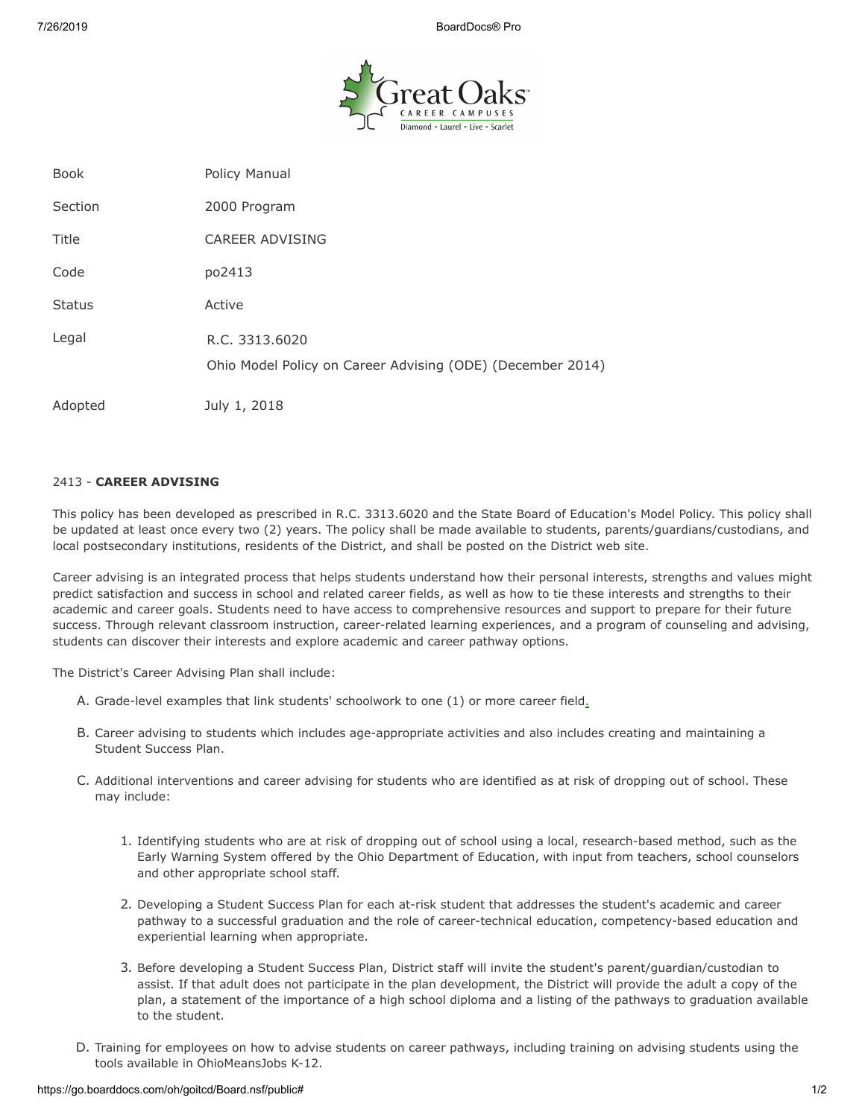7/26/2019 BoardDocs® Pro



| <b>Book</b>   | Policy Manual                                                                |
|---------------|------------------------------------------------------------------------------|
| Section       | 2000 Program                                                                 |
| Title         | CAREER ADVISING                                                              |
| Code          | po2413                                                                       |
| <b>Status</b> | Active                                                                       |
| Legal         | R.C. 3313.6020<br>Ohio Model Policy on Career Advising (ODE) (December 2014) |
| Adopted       | July 1, 2018                                                                 |

## 2413 - **CAREER ADVISING**

This policy has been developed as prescribed in R.C. 3313.6020 and the State Board of Education's Model Policy. This policy shall be updated at least once every two (2) years. The policy shall be made available to students, parents/guardians/custodians, and local postsecondary institutions, residents of the District, and shall be posted on the District web site.

Career advising is an integrated process that helps students understand how their personal interests, strengths and values might predict satisfaction and success in school and related career fields, as well as how to tie these interests and strengths to their academic and career goals. Students need to have access to comprehensive resources and support to prepare for their future success. Through relevant classroom instruction, career-related learning experiences, and a program of counseling and advising, students can discover their interests and explore academic and career pathway options.

The District's Career Advising Plan shall include:

- A. Grade-level examples that link students' schoolwork to one (1) or more career field.
- B. Career advising to students which includes age-appropriate activities and also includes creating and maintaining a Student Success Plan.
- C. Additional interventions and career advising for students who are identified as at risk of dropping out of school. These may include:
	- 1. Identifying students who are at risk of dropping out of school using a local, research-based method, such as the Early Warning System offered by the Ohio Department of Education, with input from teachers, school counselors and other appropriate school staff.
	- 2. Developing a Student Success Plan for each at-risk student that addresses the student's academic and career pathway to a successful graduation and the role of career-technical education, competency-based education and experiential learning when appropriate.
	- 3. Before developing a Student Success Plan, District staff will invite the student's parent/guardian/custodian to assist. If that adult does not participate in the plan development, the District will provide the adult a copy of the plan, a statement of the importance of a high school diploma and a listing of the pathways to graduation available to the student.
- D. Training for employees on how to advise students on career pathways, including training on advising students using the tools available in OhioMeansJobs K-12.